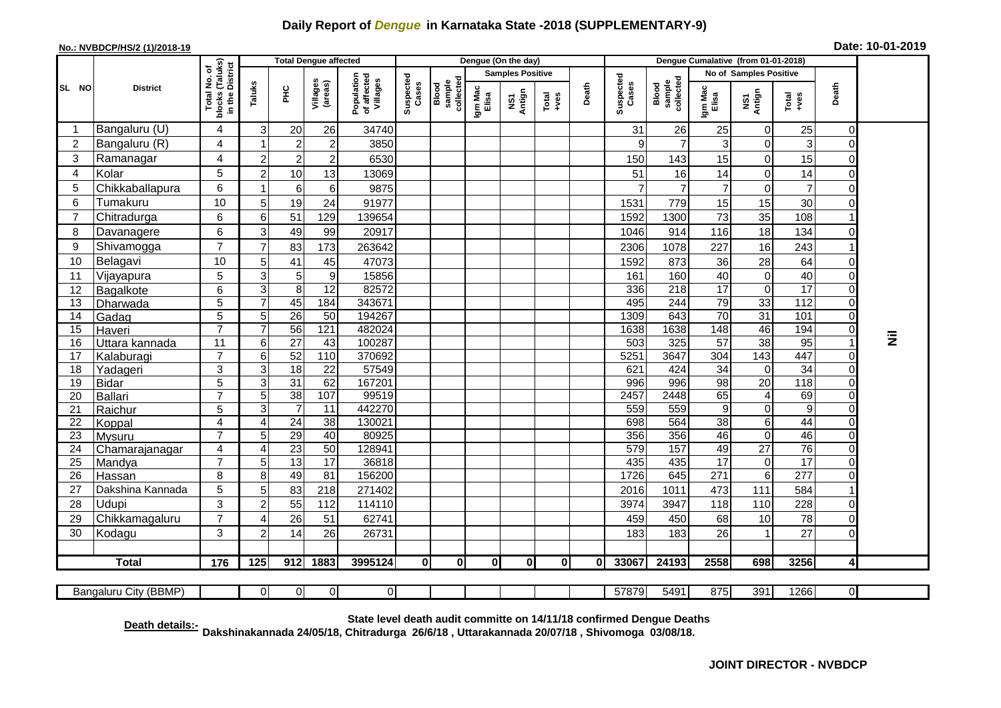## **Daily Report of** *Dengue* **in Karnataka State -2018 (SUPPLEMENTARY-9)**

## **No.: NVBDCP/HS/2 (1)/2018-19 Date: 10-01-2019**

|                | <b>District</b>       |                                                    | <b>Total Dengue affected</b> |                 |                     |                                       |                    |                              |                  | Dengue (On the day)     |               |       |                    |                              |                        |                      |                        |                         |           |
|----------------|-----------------------|----------------------------------------------------|------------------------------|-----------------|---------------------|---------------------------------------|--------------------|------------------------------|------------------|-------------------------|---------------|-------|--------------------|------------------------------|------------------------|----------------------|------------------------|-------------------------|-----------|
|                |                       |                                                    |                              |                 |                     |                                       |                    |                              |                  | <b>Samples Positive</b> |               |       |                    |                              | No of Samples Positive |                      |                        |                         |           |
| SL NO          |                       | Total No. of<br>blocks (Taluks)<br>in the District | Taluks                       | $\frac{C}{E}$   | Villages<br>(areas) | Population<br>of affected<br>Villages | Suspected<br>Cases | collected<br>sample<br>Blood | Igm Mac<br>Elisa | Antign<br>š             | Total<br>+ves | Death | Suspected<br>Cases | Blood<br>sample<br>collected | Igm Mac<br>Elisa       | NS1<br>Antign        | Total<br>+ves          | Death                   |           |
| -1             | Bangaluru (U)         | 4                                                  | 3                            | 20              | 26                  | 34740                                 |                    |                              |                  |                         |               |       | 31                 | 26                           | 25                     | 0                    | 25                     | $\overline{0}$          |           |
| $\overline{c}$ | Bangaluru (R)         | 4                                                  |                              | $\overline{2}$  | $\overline{c}$      | 3850                                  |                    |                              |                  |                         |               |       | 9                  | $\overline{7}$               | 3                      | $\Omega$             | 3                      | $\Omega$                |           |
| 3              | Ramanagar             | 4                                                  | $\overline{2}$               | $\overline{2}$  | $\overline{2}$      | 6530                                  |                    |                              |                  |                         |               |       | 150                | 143                          | 15                     | $\overline{0}$       | 15                     | $\Omega$                |           |
| 4              | Kolar                 | 5                                                  | $\overline{2}$               | 10              | 13                  | 13069                                 |                    |                              |                  |                         |               |       | 51                 | 16                           | 14                     | $\overline{0}$       | 14                     | $\Omega$                |           |
| 5              | Chikkaballapura       | 6                                                  | 1                            | 6               | 6                   | 9875                                  |                    |                              |                  |                         |               |       | $\overline{7}$     | $\overline{7}$               | $\overline{7}$         | $\mathbf 0$          | $\overline{7}$         | $\mathbf 0$             |           |
| 6              | Tumakuru              | 10                                                 | 5                            | 19              | 24                  | 91977                                 |                    |                              |                  |                         |               |       | 1531               | 779                          | 15                     | 15                   | 30                     | $\Omega$                |           |
| 7              | Chitradurga           | 6                                                  | 6 <sup>1</sup>               | 51              | 129                 | 139654                                |                    |                              |                  |                         |               |       | 1592               | 1300                         | 73                     | 35                   | 108                    |                         |           |
| 8              | Davanagere            | 6                                                  | $\overline{3}$               | 49              | 99                  | 20917                                 |                    |                              |                  |                         |               |       | 1046               | 914                          | 116                    | 18                   | 134                    | 0                       |           |
| 9              | Shivamogga            | $\overline{7}$                                     |                              | 83              | 173                 | 263642                                |                    |                              |                  |                         |               |       | 2306               | 1078                         | 227                    | 16                   | 243                    |                         |           |
| 10             | Belagavi              | 10                                                 | 5                            | 41              | 45                  | 47073                                 |                    |                              |                  |                         |               |       | 1592               | 873                          | 36                     | 28                   | 64                     | 0                       |           |
| 11             | Vijayapura            | 5                                                  | 3                            | 5               | 9                   | 15856                                 |                    |                              |                  |                         |               |       | 161                | 160                          | 40                     | $\overline{0}$       | 40                     | $\Omega$                |           |
| 12             | Bagalkote             | 6                                                  | 3                            | $\, 8$          | 12                  | 82572                                 |                    |                              |                  |                         |               |       | 336                | 218                          | $\overline{17}$        | $\mathbf 0$          | $\overline{17}$        | 0                       |           |
| 13             | Dharwada              | $\overline{5}$                                     |                              | 45              | 184                 | 343671                                |                    |                              |                  |                         |               |       | 495                | 244                          | 79                     | 33                   | 112                    | $\Omega$                |           |
| 14             | Gadag                 | $\overline{5}$                                     | 5                            | 26              | $\overline{50}$     | 194267                                |                    |                              |                  |                         |               |       | 1309               | 643                          | 70                     | $\overline{31}$      | 101                    | $\Omega$                |           |
| 15             | Haveri                | $\overline{7}$                                     |                              | 56              | 121                 | 482024                                |                    |                              |                  |                         |               |       | 1638               | 1638                         | 148                    | 46                   | 194                    | $\mathbf{O}$            | $\bar{z}$ |
| 16             | Uttara kannada        | 11                                                 | 6 <sup>1</sup>               | $\overline{27}$ | 43                  | 100287                                |                    |                              |                  |                         |               |       | 503                | 325                          | 57                     | $\overline{38}$      | 95                     |                         |           |
| 17             | Kalaburagi            | $\overline{7}$                                     | 6                            | 52              | 110                 | 370692                                |                    |                              |                  |                         |               |       | 5251               | 3647                         | 304                    | $\overline{143}$     | 447                    | $\Omega$                |           |
| 18             | Yadageri              | 3                                                  | 3                            | $\overline{18}$ | $\overline{22}$     | 57549                                 |                    |                              |                  |                         |               |       | 621                | 424                          | $\overline{34}$        | $\mathbf 0$          | 34                     | 0                       |           |
| 19<br>20       | <b>Bidar</b>          | 5<br>$\overline{7}$                                | 3<br>5                       | 31<br>38        | 62<br>107           | 167201<br>99519                       |                    |                              |                  |                         |               |       | 996<br>2457        | 996<br>2448                  | $\overline{98}$<br>65  | 20<br>$\overline{4}$ | $\overline{118}$<br>69 | $\Omega$<br>$\mathbf 0$ |           |
| 21             | Ballari<br>Raichur    | 5                                                  | $\overline{3}$               | $\overline{7}$  | 11                  | 442270                                |                    |                              |                  |                         |               |       | 559                | 559                          | $\boldsymbol{9}$       | $\Omega$             | 9                      | $\mathbf 0$             |           |
| 22             | Koppal                | 4                                                  | 4                            | $\overline{24}$ | 38                  | 130021                                |                    |                              |                  |                         |               |       | 698                | 564                          | $\overline{38}$        | 6 <sup>1</sup>       | $\overline{44}$        | $\mathbf{O}$            |           |
| 23             | Mysuru                | $\overline{7}$                                     | 5                            | 29              | 40                  | 80925                                 |                    |                              |                  |                         |               |       | 356                | 356                          | 46                     | $\overline{0}$       | 46                     | $\mathbf 0$             |           |
| 24             | Chamarajanagar        | 4                                                  | 4                            | $\overline{23}$ | 50                  | 128941                                |                    |                              |                  |                         |               |       | 579                | 157                          | 49                     | 27                   | 76                     | $\mathbf 0$             |           |
| 25             | Mandya                | $\overline{7}$                                     | 5                            | 13              | 17                  | 36818                                 |                    |                              |                  |                         |               |       | 435                | 435                          | $\overline{17}$        | $\mathbf 0$          | 17                     | $\Omega$                |           |
| 26             | Hassan                | 8                                                  | 8                            | 49              | $\overline{81}$     | 156200                                |                    |                              |                  |                         |               |       | 1726               | 645                          | 271                    | $6 \mid$             | 277                    | $\Omega$                |           |
| 27             | Dakshina Kannada      | 5                                                  | 5                            | 83              | 218                 | 271402                                |                    |                              |                  |                         |               |       | 2016               | 1011                         | 473                    | 111                  | 584                    |                         |           |
| 28             | <b>Udupi</b>          | 3                                                  | $\overline{c}$               | 55              | 112                 | 114110                                |                    |                              |                  |                         |               |       | 3974               | 3947                         | 118                    | 110                  | 228                    | 0                       |           |
| 29             | Chikkamagaluru        | $\overline{7}$                                     |                              | 26              | 51                  | 62741                                 |                    |                              |                  |                         |               |       | 459                | 450                          | 68                     | 10                   | 78                     | $\Omega$                |           |
| 30             | Kodagu                | 3                                                  | $\overline{2}$               | 14              | 26                  | 26731                                 |                    |                              |                  |                         |               |       | 183                | 183                          | 26                     |                      | 27                     | $\Omega$                |           |
|                |                       |                                                    |                              |                 |                     |                                       |                    |                              |                  |                         |               |       |                    |                              |                        |                      |                        |                         |           |
|                | <b>Total</b>          | 176                                                | $\overline{125}$             | 912             | 1883                | 3995124                               | $\mathbf{0}$       | $\mathbf{0}$                 | 0                | 0I                      | $\mathbf{0}$  | 0I    | 33067              | 24193                        | 2558                   | 698                  | 3256                   | $\overline{4}$          |           |
|                |                       |                                                    |                              |                 |                     |                                       |                    |                              |                  |                         |               |       |                    |                              |                        |                      |                        |                         |           |
|                | Bangaluru City (BBMP) |                                                    | $\Omega$                     | $\Omega$        | $\overline{0}$      | $\overline{0}$                        |                    |                              |                  |                         |               |       | 57879              | 5491                         | 875                    | 391                  | 1266                   | $\overline{0}$          |           |

**Death details:- State level death audit committe on 14/11/18 confirmed Dengue Deaths Dakshinakannada 24/05/18, Chitradurga 26/6/18 , Uttarakannada 20/07/18 , Shivomoga 03/08/18.**